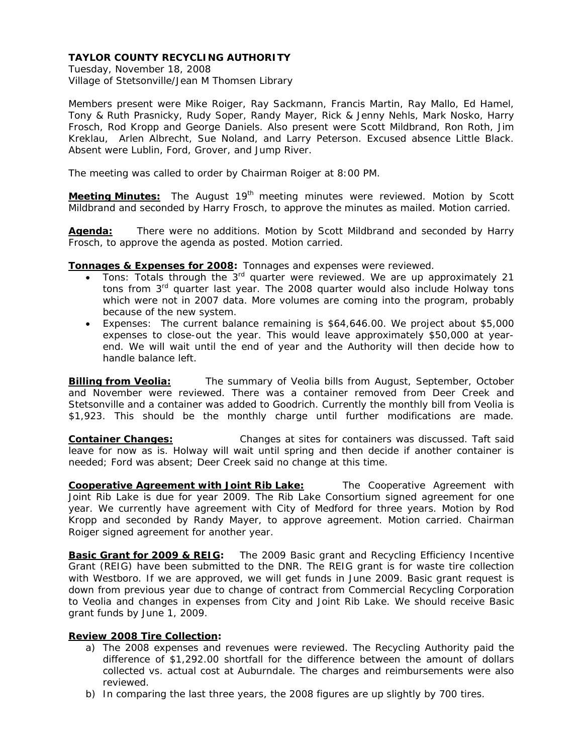Tuesday, November 18, 2008 Village of Stetsonville/Jean M Thomsen Library

Members present were Mike Roiger, Ray Sackmann, Francis Martin, Ray Mallo, Ed Hamel, Tony & Ruth Prasnicky, Rudy Soper, Randy Mayer, Rick & Jenny Nehls, Mark Nosko, Harry Frosch, Rod Kropp and George Daniels. Also present were Scott Mildbrand, Ron Roth, Jim Kreklau, Arlen Albrecht, Sue Noland, and Larry Peterson. Excused absence Little Black. Absent were Lublin, Ford, Grover, and Jump River.

The meeting was called to order by Chairman Roiger at 8:00 PM.

**Meeting Minutes:** The August 19<sup>th</sup> meeting minutes were reviewed. Motion by Scott Mildbrand and seconded by Harry Frosch, to approve the minutes as mailed. Motion carried.

**Agenda:** There were no additions. Motion by Scott Mildbrand and seconded by Harry Frosch, to approve the agenda as posted. Motion carried.

**Tonnages & Expenses for 2008:** Tonnages and expenses were reviewed.

- Tons: Totals through the 3<sup>rd</sup> quarter were reviewed. We are up approximately 21 tons from 3<sup>rd</sup> quarter last year. The 2008 quarter would also include Holway tons which were not in 2007 data. More volumes are coming into the program, probably because of the new system.
- Expenses: The current balance remaining is \$64,646.00. We project about \$5,000 expenses to close-out the year. This would leave approximately \$50,000 at yearend. We will wait until the end of year and the Authority will then decide how to handle balance left.

**Billing from Veolia:** The summary of Veolia bills from August, September, October and November were reviewed. There was a container removed from Deer Creek and Stetsonville and a container was added to Goodrich. Currently the monthly bill from Veolia is \$1,923. This should be the monthly charge until further modifications are made.

**Container Changes:** Changes at sites for containers was discussed. Taft said leave for now as is. Holway will wait until spring and then decide if another container is needed; Ford was absent; Deer Creek said no change at this time.

**Cooperative Agreement with Joint Rib Lake:**The Cooperative Agreement with Joint Rib Lake is due for year 2009. The Rib Lake Consortium signed agreement for one year. We currently have agreement with City of Medford for three years. Motion by Rod Kropp and seconded by Randy Mayer, to approve agreement. Motion carried. Chairman Roiger signed agreement for another year.

**Basic Grant for 2009 & REIG:** The 2009 Basic grant and Recycling Efficiency Incentive Grant (REIG) have been submitted to the DNR. The REIG grant is for waste tire collection with Westboro. If we are approved, we will get funds in June 2009. Basic grant request is down from previous year due to change of contract from Commercial Recycling Corporation to Veolia and changes in expenses from City and Joint Rib Lake. We should receive Basic grant funds by June 1, 2009.

#### **Review 2008 Tire Collection:**

- a) The 2008 expenses and revenues were reviewed. The Recycling Authority paid the difference of \$1,292.00 shortfall for the difference between the amount of dollars collected vs. actual cost at Auburndale. The charges and reimbursements were also reviewed.
- b) In comparing the last three years, the 2008 figures are up slightly by 700 tires.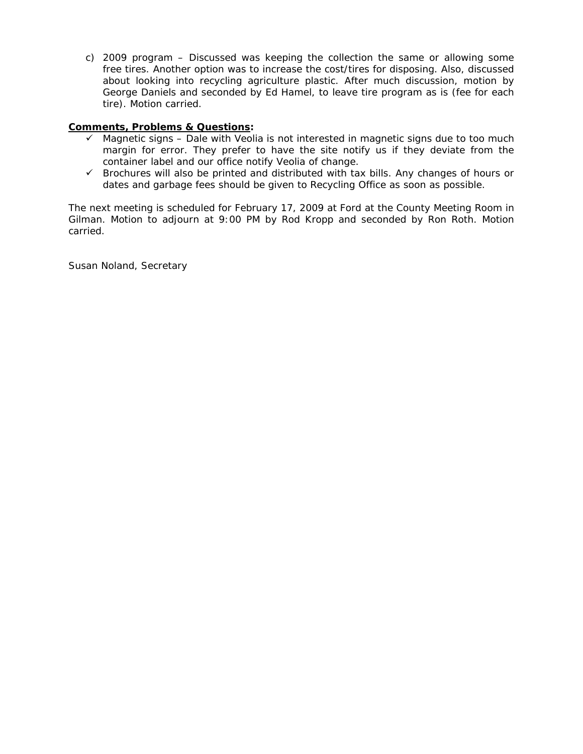c) 2009 program – Discussed was keeping the collection the same or allowing some free tires. Another option was to increase the cost/tires for disposing. Also, discussed about looking into recycling agriculture plastic. After much discussion, motion by George Daniels and seconded by Ed Hamel, to leave tire program as is (fee for each tire). Motion carried.

# **Comments, Problems & Questions:**

- $\checkmark$  Magnetic signs Dale with Veolia is not interested in magnetic signs due to too much margin for error. They prefer to have the site notify us if they deviate from the container label and our office notify Veolia of change.
- $\checkmark$  Brochures will also be printed and distributed with tax bills. Any changes of hours or dates and garbage fees should be given to Recycling Office as soon as possible.

The next meeting is scheduled for February 17, 2009 at Ford at the County Meeting Room in Gilman. Motion to adjourn at 9:00 PM by Rod Kropp and seconded by Ron Roth. Motion carried.

Susan Noland, Secretary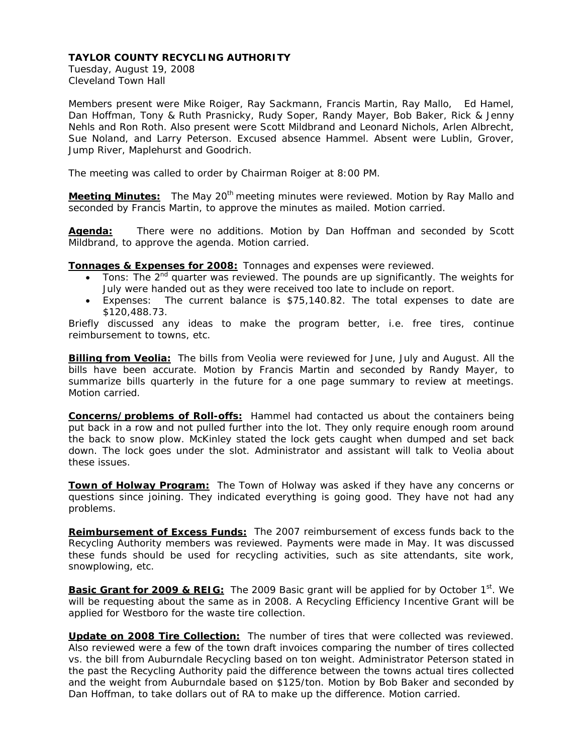Tuesday, August 19, 2008 Cleveland Town Hall

Members present were Mike Roiger, Ray Sackmann, Francis Martin, Ray Mallo, Ed Hamel, Dan Hoffman, Tony & Ruth Prasnicky, Rudy Soper, Randy Mayer, Bob Baker, Rick & Jenny Nehls and Ron Roth. Also present were Scott Mildbrand and Leonard Nichols, Arlen Albrecht, Sue Noland, and Larry Peterson. Excused absence Hammel. Absent were Lublin, Grover, Jump River, Maplehurst and Goodrich.

The meeting was called to order by Chairman Roiger at 8:00 PM.

**Meeting Minutes:** The May 20<sup>th</sup> meeting minutes were reviewed. Motion by Ray Mallo and seconded by Francis Martin, to approve the minutes as mailed. Motion carried.

**Agenda:** There were no additions. Motion by Dan Hoffman and seconded by Scott Mildbrand, to approve the agenda. Motion carried.

**Tonnages & Expenses for 2008:** Tonnages and expenses were reviewed.

- Tons: The  $2^{nd}$  quarter was reviewed. The pounds are up significantly. The weights for July were handed out as they were received too late to include on report.
- Expenses: The current balance is \$75,140.82. The total expenses to date are \$120,488.73.

Briefly discussed any ideas to make the program better, i.e. free tires, continue reimbursement to towns, etc.

**Billing from Veolia:** The bills from Veolia were reviewed for June, July and August. All the bills have been accurate. Motion by Francis Martin and seconded by Randy Mayer, to summarize bills quarterly in the future for a one page summary to review at meetings. Motion carried.

**Concerns/problems of Roll-offs:** Hammel had contacted us about the containers being put back in a row and not pulled further into the lot. They only require enough room around the back to snow plow. McKinley stated the lock gets caught when dumped and set back down. The lock goes under the slot. Administrator and assistant will talk to Veolia about these issues.

**Town of Holway Program:** The Town of Holway was asked if they have any concerns or questions since joining. They indicated everything is going good. They have not had any problems.

**Reimbursement of Excess Funds:** The 2007 reimbursement of excess funds back to the Recycling Authority members was reviewed. Payments were made in May. It was discussed these funds should be used for recycling activities, such as site attendants, site work, snowplowing, etc.

**Basic Grant for 2009 & REIG:** The 2009 Basic grant will be applied for by October 1<sup>st</sup>. We will be requesting about the same as in 2008. A Recycling Efficiency Incentive Grant will be applied for Westboro for the waste tire collection.

**Update on 2008 Tire Collection:** The number of tires that were collected was reviewed. Also reviewed were a few of the town draft invoices comparing the number of tires collected vs. the bill from Auburndale Recycling based on ton weight. Administrator Peterson stated in the past the Recycling Authority paid the difference between the towns actual tires collected and the weight from Auburndale based on \$125/ton. Motion by Bob Baker and seconded by Dan Hoffman, to take dollars out of RA to make up the difference. Motion carried.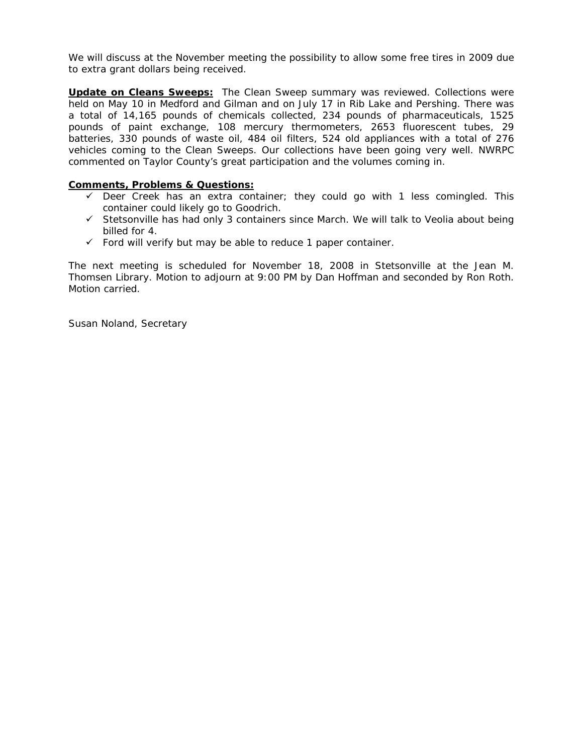We will discuss at the November meeting the possibility to allow some free tires in 2009 due to extra grant dollars being received.

**Update on Cleans Sweeps:** The Clean Sweep summary was reviewed. Collections were held on May 10 in Medford and Gilman and on July 17 in Rib Lake and Pershing. There was a total of 14,165 pounds of chemicals collected, 234 pounds of pharmaceuticals, 1525 pounds of paint exchange, 108 mercury thermometers, 2653 fluorescent tubes, 29 batteries, 330 pounds of waste oil, 484 oil filters, 524 old appliances with a total of 276 vehicles coming to the Clean Sweeps. Our collections have been going very well. NWRPC commented on Taylor County's great participation and the volumes coming in.

# **Comments, Problems & Questions:**

- $\checkmark$  Deer Creek has an extra container; they could go with 1 less comingled. This container could likely go to Goodrich.
- $\checkmark$  Stetsonville has had only 3 containers since March. We will talk to Veolia about being billed for 4.
- $\checkmark$  Ford will verify but may be able to reduce 1 paper container.

The next meeting is scheduled for November 18, 2008 in Stetsonville at the Jean M. Thomsen Library. Motion to adjourn at 9:00 PM by Dan Hoffman and seconded by Ron Roth. Motion carried.

Susan Noland, Secretary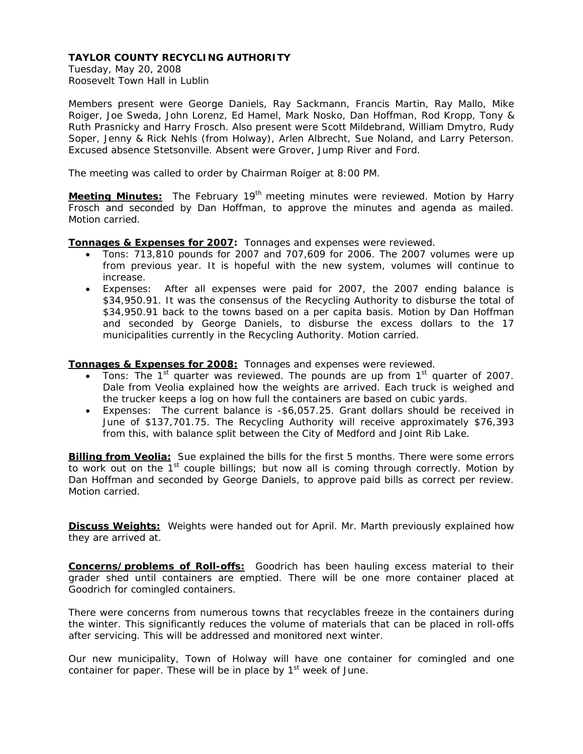Tuesday, May 20, 2008 Roosevelt Town Hall in Lublin

Members present were George Daniels, Ray Sackmann, Francis Martin, Ray Mallo, Mike Roiger, Joe Sweda, John Lorenz, Ed Hamel, Mark Nosko, Dan Hoffman, Rod Kropp, Tony & Ruth Prasnicky and Harry Frosch. Also present were Scott Mildebrand, William Dmytro, Rudy Soper, Jenny & Rick Nehls (from Holway), Arlen Albrecht, Sue Noland, and Larry Peterson. Excused absence Stetsonville. Absent were Grover, Jump River and Ford.

The meeting was called to order by Chairman Roiger at 8:00 PM.

**Meeting Minutes:** The February 19<sup>th</sup> meeting minutes were reviewed. Motion by Harry Frosch and seconded by Dan Hoffman, to approve the minutes and agenda as mailed. Motion carried.

**Tonnages & Expenses for 2007:** Tonnages and expenses were reviewed.

- Tons: 713,810 pounds for 2007 and 707,609 for 2006. The 2007 volumes were up from previous year. It is hopeful with the new system, volumes will continue to increase.
- Expenses: After all expenses were paid for 2007, the 2007 ending balance is \$34,950.91. It was the consensus of the Recycling Authority to disburse the total of \$34,950.91 back to the towns based on a per capita basis. Motion by Dan Hoffman and seconded by George Daniels, to disburse the excess dollars to the 17 municipalities currently in the Recycling Authority. Motion carried.

**Tonnages & Expenses for 2008:**Tonnages and expenses were reviewed.

- Tons: The 1<sup>st</sup> quarter was reviewed. The pounds are up from 1<sup>st</sup> quarter of 2007. Dale from Veolia explained how the weights are arrived. Each truck is weighed and the trucker keeps a log on how full the containers are based on cubic yards.
- Expenses: The current balance is -\$6,057.25. Grant dollars should be received in June of \$137,701.75. The Recycling Authority will receive approximately \$76,393 from this, with balance split between the City of Medford and Joint Rib Lake.

**Billing from Veolia:** Sue explained the bills for the first 5 months. There were some errors to work out on the  $1<sup>st</sup>$  couple billings; but now all is coming through correctly. Motion by Dan Hoffman and seconded by George Daniels, to approve paid bills as correct per review. Motion carried.

**Discuss Weights:**Weights were handed out for April. Mr. Marth previously explained how they are arrived at.

**Concerns/problems of Roll-offs:** Goodrich has been hauling excess material to their grader shed until containers are emptied. There will be one more container placed at Goodrich for comingled containers.

There were concerns from numerous towns that recyclables freeze in the containers during the winter. This significantly reduces the volume of materials that can be placed in roll-offs after servicing. This will be addressed and monitored next winter.

Our new municipality, Town of Holway will have one container for comingled and one container for paper. These will be in place by  $1<sup>st</sup>$  week of June.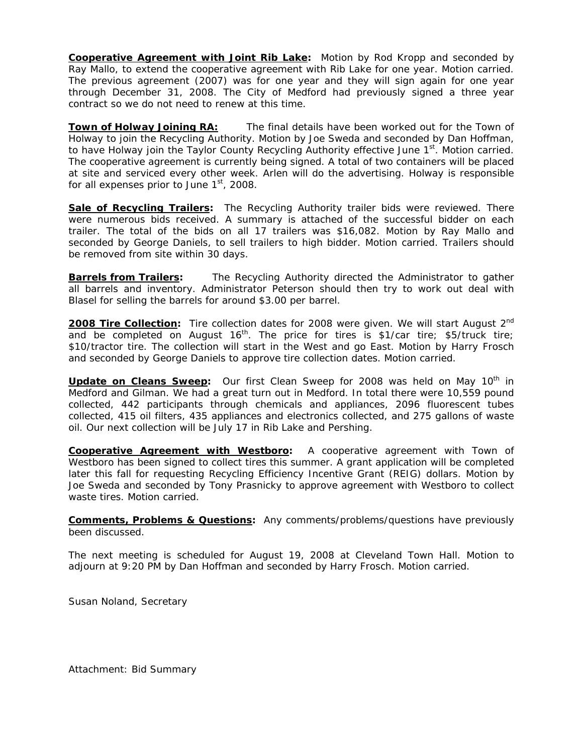**Cooperative Agreement with Joint Rib Lake:** Motion by Rod Kropp and seconded by Ray Mallo, to extend the cooperative agreement with Rib Lake for one year. Motion carried. The previous agreement (2007) was for one year and they will sign again for one year through December 31, 2008. The City of Medford had previously signed a three year contract so we do not need to renew at this time.

**Town of Holway Joining RA:** The final details have been worked out for the Town of Holway to join the Recycling Authority. Motion by Joe Sweda and seconded by Dan Hoffman, to have Holway join the Taylor County Recycling Authority effective June 1<sup>st</sup>. Motion carried. The cooperative agreement is currently being signed. A total of two containers will be placed at site and serviced every other week. Arlen will do the advertising. Holway is responsible for all expenses prior to June  $1<sup>st</sup>$ , 2008.

**Sale of Recycling Trailers:** The Recycling Authority trailer bids were reviewed. There were numerous bids received. A summary is attached of the successful bidder on each trailer. The total of the bids on all 17 trailers was \$16,082. Motion by Ray Mallo and seconded by George Daniels, to sell trailers to high bidder. Motion carried. Trailers should be removed from site within 30 days.

**Barrels from Trailers:** The Recycling Authority directed the Administrator to gather all barrels and inventory. Administrator Peterson should then try to work out deal with Blasel for selling the barrels for around \$3.00 per barrel.

2008 Tire Collection: Tire collection dates for 2008 were given. We will start August 2<sup>nd</sup> and be completed on August  $16<sup>th</sup>$ . The price for tires is \$1/car tire; \$5/truck tire; \$10/tractor tire. The collection will start in the West and go East. Motion by Harry Frosch and seconded by George Daniels to approve tire collection dates. Motion carried.

**Update on Cleans Sweep:** Our first Clean Sweep for 2008 was held on May 10<sup>th</sup> in Medford and Gilman. We had a great turn out in Medford. In total there were 10,559 pound collected, 442 participants through chemicals and appliances, 2096 fluorescent tubes collected, 415 oil filters, 435 appliances and electronics collected, and 275 gallons of waste oil. Our next collection will be July 17 in Rib Lake and Pershing.

**Cooperative Agreement with Westboro:** A cooperative agreement with Town of Westboro has been signed to collect tires this summer. A grant application will be completed later this fall for requesting Recycling Efficiency Incentive Grant (REIG) dollars. Motion by Joe Sweda and seconded by Tony Prasnicky to approve agreement with Westboro to collect waste tires. Motion carried.

**Comments, Problems & Questions:** Any comments/problems/questions have previously been discussed.

The next meeting is scheduled for August 19, 2008 at Cleveland Town Hall. Motion to adjourn at 9:20 PM by Dan Hoffman and seconded by Harry Frosch. Motion carried.

Susan Noland, Secretary

Attachment: Bid Summary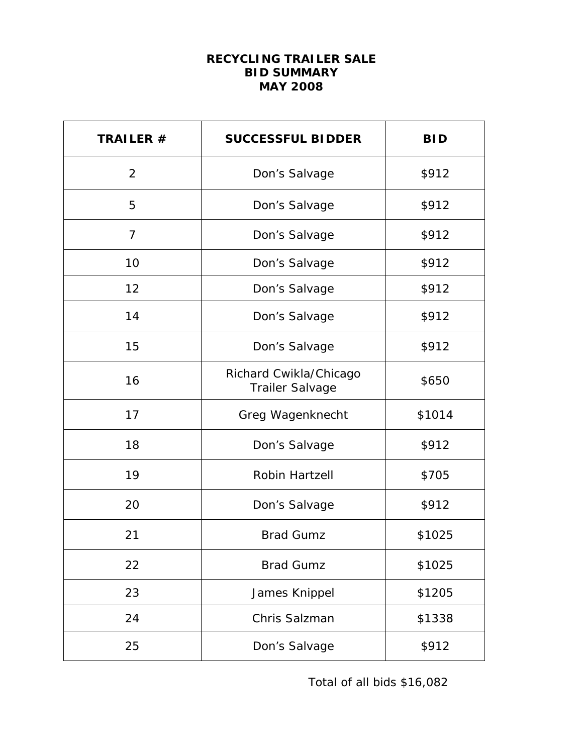# **RECYCLING TRAILER SALE BID SUMMARY MAY 2008**

| TRAILER #      | <b>SUCCESSFUL BIDDER</b>                         | <b>BID</b> |
|----------------|--------------------------------------------------|------------|
| 2              | Don's Salvage                                    | \$912      |
| 5              | Don's Salvage                                    | \$912      |
| $\overline{7}$ | Don's Salvage                                    | \$912      |
| 10             | Don's Salvage                                    | \$912      |
| 12             | Don's Salvage                                    | \$912      |
| 14             | Don's Salvage                                    | \$912      |
| 15             | Don's Salvage                                    | \$912      |
| 16             | Richard Cwikla/Chicago<br><b>Trailer Salvage</b> | \$650      |
| 17             | Greg Wagenknecht                                 | \$1014     |
| 18             | Don's Salvage                                    | \$912      |
| 19             | Robin Hartzell                                   | \$705      |
| 20             | Don's Salvage                                    | \$912      |
| 21             | <b>Brad Gumz</b>                                 | \$1025     |
| 22             | <b>Brad Gumz</b>                                 | \$1025     |
| 23             | James Knippel                                    | \$1205     |
| 24             | Chris Salzman                                    | \$1338     |
| 25             | Don's Salvage                                    | \$912      |

Total of all bids \$16,082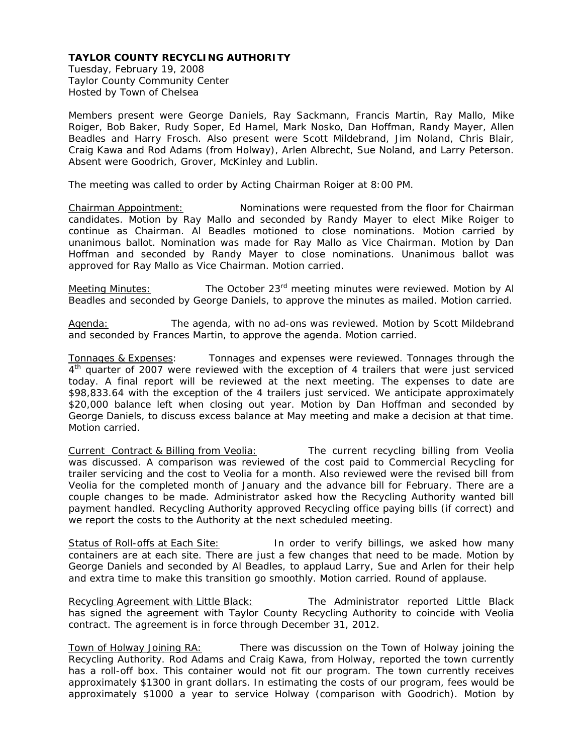Tuesday, February 19, 2008 Taylor County Community Center Hosted by Town of Chelsea

Members present were George Daniels, Ray Sackmann, Francis Martin, Ray Mallo, Mike Roiger, Bob Baker, Rudy Soper, Ed Hamel, Mark Nosko, Dan Hoffman, Randy Mayer, Allen Beadles and Harry Frosch. Also present were Scott Mildebrand, Jim Noland, Chris Blair, Craig Kawa and Rod Adams (from Holway), Arlen Albrecht, Sue Noland, and Larry Peterson. Absent were Goodrich, Grover, McKinley and Lublin.

The meeting was called to order by Acting Chairman Roiger at 8:00 PM.

Chairman Appointment:Nominations were requested from the floor for Chairman candidates. Motion by Ray Mallo and seconded by Randy Mayer to elect Mike Roiger to continue as Chairman. Al Beadles motioned to close nominations. Motion carried by unanimous ballot. Nomination was made for Ray Mallo as Vice Chairman. Motion by Dan Hoffman and seconded by Randy Mayer to close nominations. Unanimous ballot was approved for Ray Mallo as Vice Chairman. Motion carried.

Meeting Minutes:The October 23rd meeting minutes were reviewed. Motion by Al Beadles and seconded by George Daniels, to approve the minutes as mailed. Motion carried.

Agenda:The agenda, with no ad-ons was reviewed. Motion by Scott Mildebrand and seconded by Frances Martin, to approve the agenda. Motion carried.

Tonnages & Expenses: Tonnages and expenses were reviewed. Tonnages through the 4<sup>th</sup> quarter of 2007 were reviewed with the exception of 4 trailers that were just serviced today. A final report will be reviewed at the next meeting. The expenses to date are \$98,833.64 with the exception of the 4 trailers just serviced. We anticipate approximately \$20,000 balance left when closing out year. Motion by Dan Hoffman and seconded by George Daniels, to discuss excess balance at May meeting and make a decision at that time. Motion carried.

Current Contract & Billing from Veolia: The current recycling billing from Veolia was discussed. A comparison was reviewed of the cost paid to Commercial Recycling for trailer servicing and the cost to Veolia for a month. Also reviewed were the revised bill from Veolia for the completed month of January and the advance bill for February. There are a couple changes to be made. Administrator asked how the Recycling Authority wanted bill payment handled. Recycling Authority approved Recycling office paying bills (if correct) and we report the costs to the Authority at the next scheduled meeting.

Status of Roll-offs at Each Site: In order to verify billings, we asked how many containers are at each site. There are just a few changes that need to be made. Motion by George Daniels and seconded by Al Beadles, to applaud Larry, Sue and Arlen for their help and extra time to make this transition go smoothly. Motion carried. Round of applause.

Recycling Agreement with Little Black:The Administrator reported Little Black has signed the agreement with Taylor County Recycling Authority to coincide with Veolia contract. The agreement is in force through December 31, 2012.

Town of Holway Joining RA:There was discussion on the Town of Holway joining the Recycling Authority. Rod Adams and Craig Kawa, from Holway, reported the town currently has a roll-off box. This container would not fit our program. The town currently receives approximately \$1300 in grant dollars. In estimating the costs of our program, fees would be approximately \$1000 a year to service Holway (comparison with Goodrich). Motion by